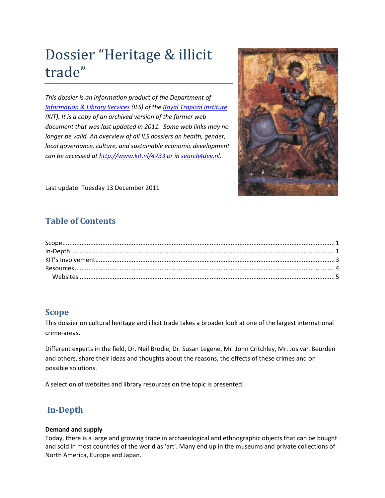# Dossier "Heritage & illicit trade"

*This dossier is an information product of the Department of [Information & Library Services](http://www.kit.nl/-/INS/53024/Royal-Tropical-Institute/KIT-Information-and-Library-Services--) (ILS) of the [Royal Tropical Institute](http://www.kit.nl/-/INS/52859/Royal-Tropical-Institute) (KIT). It is a copy of an archived version of the former web document that was last updated in 2011. Some web links may no longer be valid. An overview of all ILS dossiers on health, gender, local governance, culture, and sustainable economic development can be accessed a[t http://www.kit.nl/4733](http://www.kit.nl/4733) or in [search4dev.nl.](http://search4dev.nl/cgi/b/bib/bib-idx?lang=nl&type=boolean&c=dprn&q1=dossier&rgn1=title&op2=And&q2=&rgn2=entire+record&op3=And&q3=&rgn3=entire+record&op4=and&rgn4=doctype&q4=+&op8=and&rgn8=org&q8=kitroyaltropicalinstitute&op6=and&rgn6=region&q6=+&op7=and&rgn7=country&q7=+&op5=and&rgn5=language&q5=+&date1=2000&date2=2012&authorbrowse=Zoek)*



Last update: Tuesday 13 December 2011

# **Table of Contents**

## <span id="page-0-0"></span>**Scope**

This dossier on cultural heritage and illicit trade takes a broader look at one of the largest international crime-areas.

Different experts in the field, Dr. Neil Brodie, Dr. Susan Legene, Mr. John Critchley, Mr. Jos van Beurden and others, share their ideas and thoughts about the reasons, the effects of these crimes and on possible solutions.

A selection of websites and library resources on the topic is presented.

# <span id="page-0-1"></span>**In-Depth**

#### **Demand and supply**

Today, there is a large and growing trade in archaeological and ethnographic objects that can be bought and sold in most countries of the world as 'art'. Many end up in the museums and private collections of North America, Europe and Japan.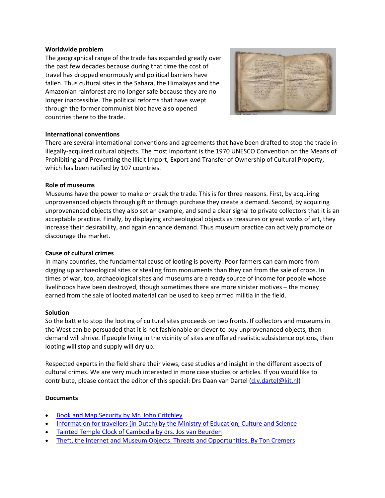#### **Worldwide problem**

The geographical range of the trade has expanded greatly over the past few decades because during that time the cost of travel has dropped enormously and political barriers have fallen. Thus cultural sites in the Sahara, the Himalayas and the Amazonian rainforest are no longer safe because they are no longer inaccessible. The political reforms that have swept through the former communist bloc have also opened countries there to the trade.



#### **International conventions**

There are several international conventions and agreements that have been drafted to stop the trade in illegally-acquired cultural objects. The most important is the 1970 UNESCO Convention on the Means of Prohibiting and Preventing the Illicit Import, Export and Transfer of Ownership of Cultural Property, which has been ratified by 107 countries.

#### **Role of museums**

Museums have the power to make or break the trade. This is for three reasons. First, by acquiring unprovenanced objects through gift or through purchase they create a demand. Second, by acquiring unprovenanced objects they also set an example, and send a clear signal to private collectors that it is an acceptable practice. Finally, by displaying archaeological objects as treasures or great works of art, they increase their desirability, and again enhance demand. Thus museum practice can actively promote or discourage the market.

#### **Cause of cultural crimes**

In many countries, the fundamental cause of looting is poverty. Poor farmers can earn more from digging up archaeological sites or stealing from monuments than they can from the sale of crops. In times of war, too, archaeological sites and museums are a ready source of income for people whose livelihoods have been destroyed, though sometimes there are more sinister motives – the money earned from the sale of looted material can be used to keep armed militia in the field.

#### **Solution**

So the battle to stop the looting of cultural sites proceeds on two fronts. If collectors and museums in the West can be persuaded that it is not fashionable or clever to buy unprovenanced objects, then demand will shrive. If people living in the vicinity of sites are offered realistic subsistence options, then looting will stop and supply will dry up.

Respected experts in the field share their views, case studies and insight in the different aspects of cultural crimes. We are very much interested in more case studies or articles. If you would like to contribute, please contact the editor of this special: Drs Daan van Dartel [\(d.v.dartel@kit.nl\)](mailto:d.v.dartel@kit.nl)

#### **Documents**

- [Book and Map Security by Mr. John Critchley](http://www.kit.nl/-/INS/6346/Royal-Tropical-Institute/KIT-Information-and-Library-Services--/ILS-Information-products/ILS-Dossiers.pdf)
- [Information for travellers \(in Dutch\) by the Ministry of Education, Culture and Science](http://www.kit.nl/-/INS/6347/Royal-Tropical-Institute/KIT-Information-and-Library-Services--/ILS-Information-products/ILS-Dossiers.pdf)
- [Tainted Temple Clock of Cambodia by drs. Jos van Beurden](http://www.kit.nl/-/INS/6349/Royal-Tropical-Institute/KIT-Information-and-Library-Services--/ILS-Information-products/ILS-Dossiers.pdf)
- [Theft, the Internet and Museum Objects: Threats and Opportunities. By Ton Cremers](http://www.kit.nl/-/INS/10739/Royal-Tropical-Institute/KIT-Information-and-Library-Services--/ILS-Information-products/ILS-Dossiers.pdf)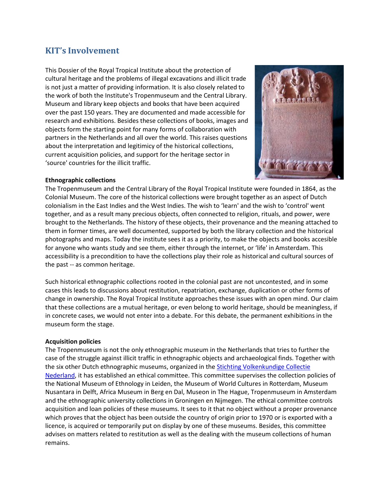# <span id="page-2-0"></span>**KIT's Involvement**

This Dossier of the Royal Tropical Institute about the protection of cultural heritage and the problems of illegal excavations and illicit trade is not just a matter of providing information. It is also closely related to the work of both the Institute's Tropenmuseum and the Central Library. Museum and library keep objects and books that have been acquired over the past 150 years. They are documented and made accessible for research and exhibitions. Besides these collections of books, images and objects form the starting point for many forms of collaboration with partners in the Netherlands and all over the world. This raises questions about the interpretation and legitimicy of the historical collections, current acquisition policies, and support for the heritage sector in 'source' countries for the illicit traffic.



#### **Ethnographic collections**

The Tropenmuseum and the Central Library of the Royal Tropical Institute were founded in 1864, as the Colonial Museum. The core of the historical collections were brought together as an aspect of Dutch colonialism in the East Indies and the West Indies. The wish to 'learn' and the wish to 'control' went together, and as a result many precious objects, often connected to religion, rituals, and power, were brought to the Netherlands. The history of these objects, their provenance and the meaning attached to them in former times, are well documented, supported by both the library collection and the historical photographs and maps. Today the institute sees it as a priority, to make the objects and books accesible for anyone who wants study and see them, either through the internet, or 'life' in Amsterdam. This accessibility is a precondition to have the collections play their role as historical and cultural sources of the past -- as common heritage.

Such historical ethnographic collections rooted in the colonial past are not uncontested, and in some cases this leads to discussions about restitution, repatriation, exchange, duplication or other forms of change in ownership. The Royal Tropical Institute approaches these issues with an open mind. Our claim that these collections are a mutual heritage, or even belong to world heritage, should be meaningless, if in concrete cases, we would not enter into a debate. For this debate, the permanent exhibitions in the museum form the stage.

#### **Acquisition policies**

The Tropenmuseum is not the only ethnographic museum in the Netherlands that tries to further the case of the struggle against illicit traffic in ethnographic objects and archaeological finds. Together with the six other Dutch ethnographic museums, organized in the [Stichting Volkenkundige Collectie](http://www.svcn.nl/index.asp)  [Nederland,](http://www.svcn.nl/index.asp) it has established an ethical committee. This committee supervises the collection policies of the National Museum of Ethnology in Leiden, the Museum of World Cultures in Rotterdam, Museum Nusantara in Delft, Africa Museum in Berg en Dal, Museon in The Hague, Tropenmuseum in Amsterdam and the ethnographic university collections in Groningen en Nijmegen. The ethical committee controls acquisition and loan policies of these museums. It sees to it that no object without a proper provenance which proves that the object has been outside the country of origin prior to 1970 or is exported with a licence, is acquired or temporarily put on display by one of these museums. Besides, this committee advises on matters related to restitution as well as the dealing with the museum collections of human remains.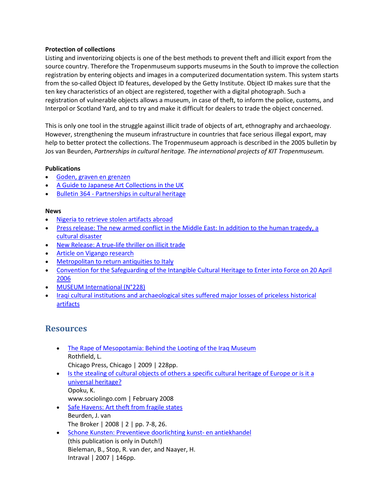#### **Protection of collections**

Listing and inventorizing objects is one of the best methods to prevent theft and illicit export from the source country. Therefore the Tropenmuseum supports museums in the South to improve the collection registration by entering objects and images in a computerized documentation system. This system starts from the so-called Object ID features, developed by the Getty Institute. Object ID makes sure that the ten key characteristics of an object are registered, together with a digital photograph. Such a registration of vulnerable objects allows a museum, in case of theft, to inform the police, customs, and Interpol or Scotland Yard, and to try and make it difficult for dealers to trade the object concerned.

This is only one tool in the struggle against illicit trade of objects of art, ethnography and archaeology. However, strengthening the museum infrastructure in countries that face serious illegal export, may help to better protect the collections. The Tropenmuseum approach is described in the 2005 bulletin by Jos van Beurden, *Partnerships in cultural heritage. The international projects of KIT Tropenmuseum.* 

#### **Publications**

- [Goden, graven en grenzen](http://www.kit.nl/INS/55136/Royal-Tropical-Institute/Publication?item=875)
- [A Guide to Japanese Art Collections in the UK](http://www.kit.nl/INS/55136/Royal-Tropical-Institute/Publication?item=1374)
- Bulletin 364 [Partnerships in cultural heritage](http://www.kit.nl/INS/55136/Royal-Tropical-Institute/Publication?item=1764)

#### **News**

- [Nigeria to retrieve stolen artifacts abroad](http://www.kit.nl/smartsite.shtml?ch=KIT&id=7414)
- Press release: The new armed conflict in the Middle East: In addition to the human tragedy, a [cultural disaster](http://www.kit.nl/smartsite.shtml?ch=KIT&id=7416)
- [New Release: A true-life thriller on illicit trade](http://www.kit.nl/smartsite.shtml?ch=KIT&id=7418)
- [Article on Vigango research](http://www.kit.nl/smartsite.shtml?ch=KIT&id=7419)
- [Metropolitan to return antiquities to Italy](http://www.kit.nl/smartsite.shtml?ch=KIT&id=7420)
- [Convention for the Safeguarding of the Intangible Cultural Heritage to Enter into Force on 20 April](http://www.kit.nl/smartsite.shtml?ch=KIT&id=7421)  [2006](http://www.kit.nl/smartsite.shtml?ch=KIT&id=7421)
- [MUSEUM International \(N°228\)](http://www.kit.nl/smartsite.shtml?ch=KIT&id=7423)
- [Iraqi cultural institutions and archaeological sites suffered major losses of priceless historical](http://www.kit.nl/smartsite.shtml?ch=KIT&id=7424)  [artifacts](http://www.kit.nl/smartsite.shtml?ch=KIT&id=7424)

## <span id="page-3-0"></span>**Resources**

- [The Rape of Mesopotamia: Behind the Looting of the Iraq Museum](http://www.press.uchicago.edu/Misc/Chicago/729459.html) Rothfield, L. Chicago Press, Chicago | 2009 | 228pp.
- Is the stealing of cultural objects of others a specific cultural heritage of Europe or is it a [universal heritage?](http://sociolingo.wordpress.com/2008/02/10/is-the-stealing-of-cultural-objects-of-others-a-specific-cultural-heritage-of-europe-or-is-it-a-univeversal-heritage/) Opoku, K.
	- www.sociolingo.com | February 2008
- [Safe Havens: Art theft from fragile states](http://www.thebrokeronline.eu/en/articles/safe_havens) Beurden, J. van The Broker | 2008 | 2 | pp. 7-8, 26.
- [Schone Kunsten: Preventieve doorlichting kunst-](http://www.justitie.nl/images/EMBARGO_Schone%20kunsten%20webversie_tcm34-89721.pdf) en antiekhandel (this publication is only in Dutch!) Bieleman, B., Stop, R. van der, and Naayer, H. Intraval | 2007 | 146pp.